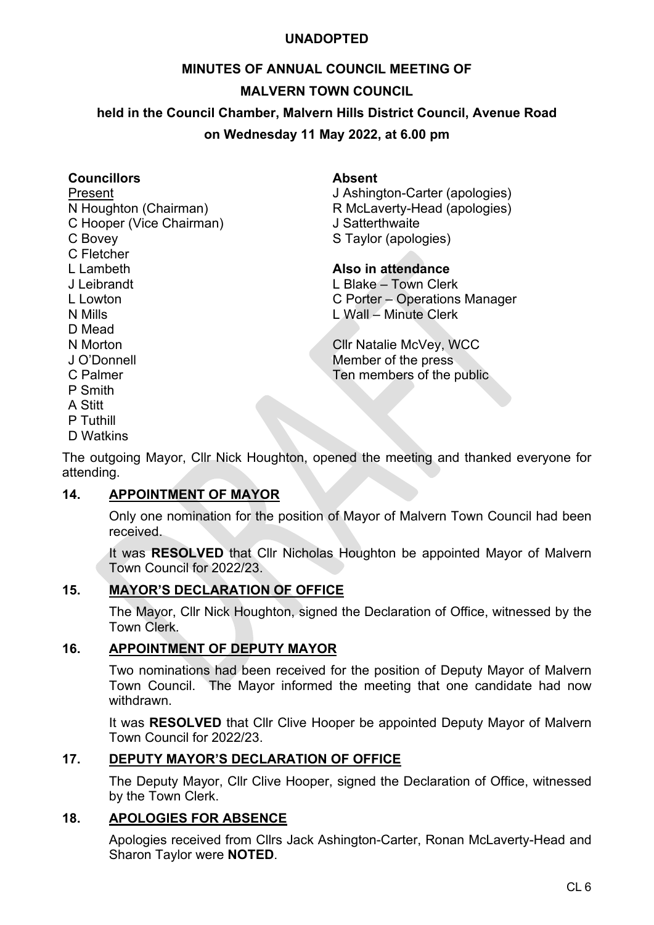# **MINUTES OF ANNUAL COUNCIL MEETING OF MALVERN TOWN COUNCIL**

# **held in the Council Chamber, Malvern Hills District Council, Avenue Road**

#### **on Wednesday 11 May 2022, at 6.00 pm**

# **Councillors Absent**

C Hooper (Vice Chairman) J Satterthwaite C Bovey C Bovey S Taylor (apologies) C Fletcher L Lambeth **Also in attendance** J Leibrandt L Blake – Town Clerk N Mills L Wall – Minute Clerk D Mead N Morton Cllr Natalie McVey, WCC J O'Donnell Member of the press C Palmer C Palmer Ten members of the public P Smith A Stitt P Tuthill D Watkins

Present J Ashington-Carter (apologies) N Houghton (Chairman) R McLaverty-Head (apologies)

L Lowton C Porter – Operations Manager

The outgoing Mayor, Cllr Nick Houghton, opened the meeting and thanked everyone for attending.

### **14. APPOINTMENT OF MAYOR**

Only one nomination for the position of Mayor of Malvern Town Council had been received.

It was **RESOLVED** that Cllr Nicholas Houghton be appointed Mayor of Malvern Town Council for 2022/23.

### **15. MAYOR'S DECLARATION OF OFFICE**

The Mayor, Cllr Nick Houghton, signed the Declaration of Office, witnessed by the Town Clerk.

### **16. APPOINTMENT OF DEPUTY MAYOR**

Two nominations had been received for the position of Deputy Mayor of Malvern Town Council. The Mayor informed the meeting that one candidate had now withdrawn.

It was **RESOLVED** that Cllr Clive Hooper be appointed Deputy Mayor of Malvern Town Council for 2022/23.

### **17. DEPUTY MAYOR'S DECLARATION OF OFFICE**

The Deputy Mayor, Cllr Clive Hooper, signed the Declaration of Office, witnessed by the Town Clerk.

### **18. APOLOGIES FOR ABSENCE**

Apologies received from Cllrs Jack Ashington-Carter, Ronan McLaverty-Head and Sharon Taylor were **NOTED**.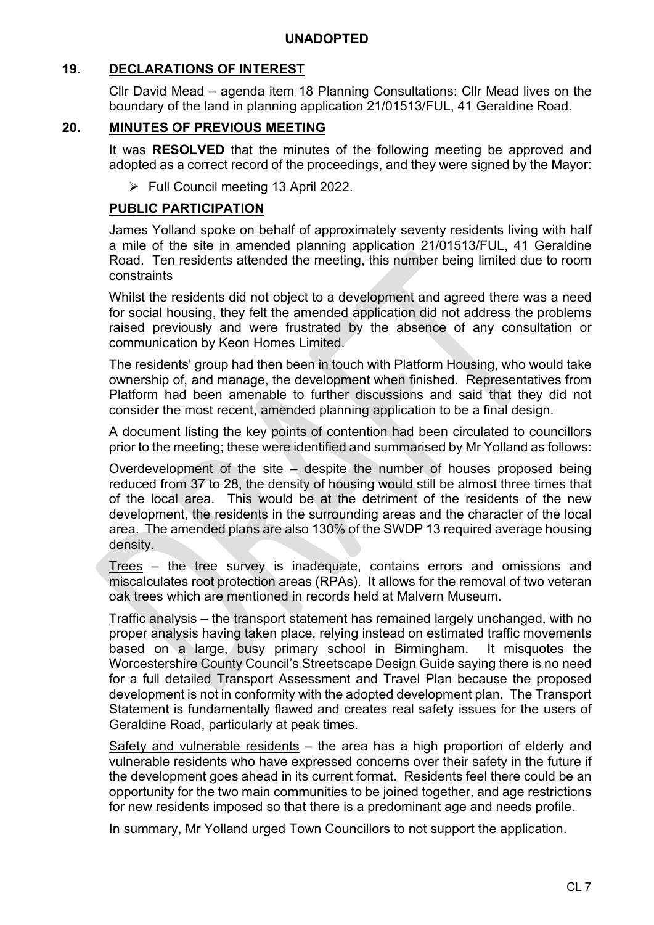# **19. DECLARATIONS OF INTEREST**

Cllr David Mead – agenda item 18 Planning Consultations: Cllr Mead lives on the boundary of the land in planning application 21/01513/FUL, 41 Geraldine Road.

#### **20. MINUTES OF PREVIOUS MEETING**

It was **RESOLVED** that the minutes of the following meeting be approved and adopted as a correct record of the proceedings, and they were signed by the Mayor:

▶ Full Council meeting 13 April 2022.

#### **PUBLIC PARTICIPATION**

James Yolland spoke on behalf of approximately seventy residents living with half a mile of the site in amended planning application 21/01513/FUL, 41 Geraldine Road. Ten residents attended the meeting, this number being limited due to room constraints

Whilst the residents did not object to a development and agreed there was a need for social housing, they felt the amended application did not address the problems raised previously and were frustrated by the absence of any consultation or communication by Keon Homes Limited.

The residents' group had then been in touch with Platform Housing, who would take ownership of, and manage, the development when finished. Representatives from Platform had been amenable to further discussions and said that they did not consider the most recent, amended planning application to be a final design.

A document listing the key points of contention had been circulated to councillors prior to the meeting; these were identified and summarised by Mr Yolland as follows:

Overdevelopment of the site – despite the number of houses proposed being reduced from 37 to 28, the density of housing would still be almost three times that of the local area. This would be at the detriment of the residents of the new development, the residents in the surrounding areas and the character of the local area. The amended plans are also 130% of the SWDP 13 required average housing density.

Trees – the tree survey is inadequate, contains errors and omissions and miscalculates root protection areas (RPAs). It allows for the removal of two veteran oak trees which are mentioned in records held at Malvern Museum.

Traffic analysis – the transport statement has remained largely unchanged, with no proper analysis having taken place, relying instead on estimated traffic movements based on a large, busy primary school in Birmingham. It misquotes the Worcestershire County Council's Streetscape Design Guide saying there is no need for a full detailed Transport Assessment and Travel Plan because the proposed development is not in conformity with the adopted development plan. The Transport Statement is fundamentally flawed and creates real safety issues for the users of Geraldine Road, particularly at peak times.

Safety and vulnerable residents – the area has a high proportion of elderly and vulnerable residents who have expressed concerns over their safety in the future if the development goes ahead in its current format. Residents feel there could be an opportunity for the two main communities to be joined together, and age restrictions for new residents imposed so that there is a predominant age and needs profile.

In summary, Mr Yolland urged Town Councillors to not support the application.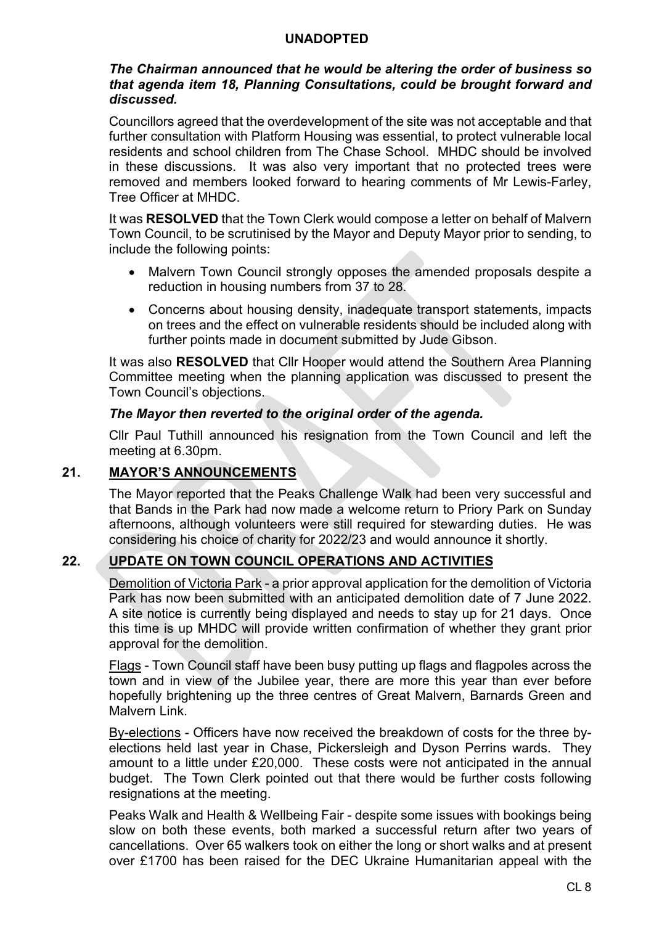#### *The Chairman announced that he would be altering the order of business so that agenda item 18, Planning Consultations, could be brought forward and discussed.*

Councillors agreed that the overdevelopment of the site was not acceptable and that further consultation with Platform Housing was essential, to protect vulnerable local residents and school children from The Chase School. MHDC should be involved in these discussions. It was also very important that no protected trees were removed and members looked forward to hearing comments of Mr Lewis-Farley, Tree Officer at MHDC.

It was **RESOLVED** that the Town Clerk would compose a letter on behalf of Malvern Town Council, to be scrutinised by the Mayor and Deputy Mayor prior to sending, to include the following points:

- Malvern Town Council strongly opposes the amended proposals despite a reduction in housing numbers from 37 to 28.
- Concerns about housing density, inadequate transport statements, impacts on trees and the effect on vulnerable residents should be included along with further points made in document submitted by Jude Gibson.

It was also **RESOLVED** that Cllr Hooper would attend the Southern Area Planning Committee meeting when the planning application was discussed to present the Town Council's objections.

#### *The Mayor then reverted to the original order of the agenda.*

Cllr Paul Tuthill announced his resignation from the Town Council and left the meeting at 6.30pm.

### **21. MAYOR'S ANNOUNCEMENTS**

The Mayor reported that the Peaks Challenge Walk had been very successful and that Bands in the Park had now made a welcome return to Priory Park on Sunday afternoons, although volunteers were still required for stewarding duties. He was considering his choice of charity for 2022/23 and would announce it shortly.

# **22. UPDATE ON TOWN COUNCIL OPERATIONS AND ACTIVITIES**

Demolition of Victoria Park - a prior approval application for the demolition of Victoria Park has now been submitted with an anticipated demolition date of 7 June 2022. A site notice is currently being displayed and needs to stay up for 21 days. Once this time is up MHDC will provide written confirmation of whether they grant prior approval for the demolition.

Flags - Town Council staff have been busy putting up flags and flagpoles across the town and in view of the Jubilee year, there are more this year than ever before hopefully brightening up the three centres of Great Malvern, Barnards Green and Malvern Link.

By-elections - Officers have now received the breakdown of costs for the three byelections held last year in Chase, Pickersleigh and Dyson Perrins wards. They amount to a little under £20,000. These costs were not anticipated in the annual budget. The Town Clerk pointed out that there would be further costs following resignations at the meeting.

Peaks Walk and Health & Wellbeing Fair - despite some issues with bookings being slow on both these events, both marked a successful return after two years of cancellations. Over 65 walkers took on either the long or short walks and at present over £1700 has been raised for the DEC Ukraine Humanitarian appeal with the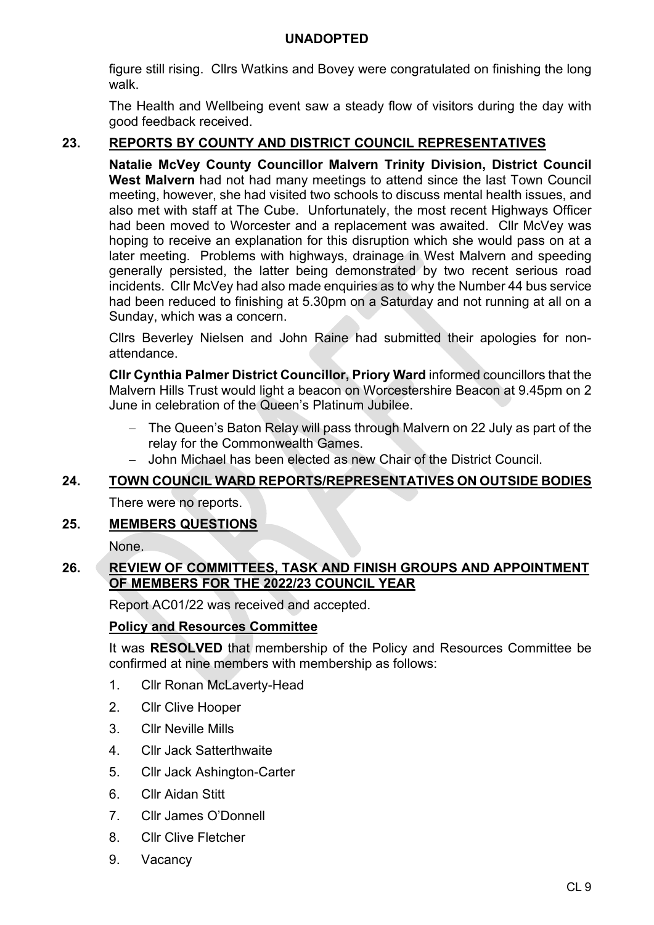figure still rising. Cllrs Watkins and Bovey were congratulated on finishing the long walk.

The Health and Wellbeing event saw a steady flow of visitors during the day with good feedback received.

# **23. REPORTS BY COUNTY AND DISTRICT COUNCIL REPRESENTATIVES**

**Natalie McVey County Councillor Malvern Trinity Division, District Council West Malvern** had not had many meetings to attend since the last Town Council meeting, however, she had visited two schools to discuss mental health issues, and also met with staff at The Cube. Unfortunately, the most recent Highways Officer had been moved to Worcester and a replacement was awaited. Cllr McVey was hoping to receive an explanation for this disruption which she would pass on at a later meeting. Problems with highways, drainage in West Malvern and speeding generally persisted, the latter being demonstrated by two recent serious road incidents. Cllr McVey had also made enquiries as to why the Number 44 bus service had been reduced to finishing at 5.30pm on a Saturday and not running at all on a Sunday, which was a concern.

Cllrs Beverley Nielsen and John Raine had submitted their apologies for nonattendance.

**Cllr Cynthia Palmer District Councillor, Priory Ward** informed councillors that the Malvern Hills Trust would light a beacon on Worcestershire Beacon at 9.45pm on 2 June in celebration of the Queen's Platinum Jubilee.

- − The Queen's Baton Relay will pass through Malvern on 22 July as part of the relay for the Commonwealth Games.
- − John Michael has been elected as new Chair of the District Council.

# **24. TOWN COUNCIL WARD REPORTS/REPRESENTATIVES ON OUTSIDE BODIES**

There were no reports.

### **25. MEMBERS QUESTIONS**

None.

### **26. REVIEW OF COMMITTEES, TASK AND FINISH GROUPS AND APPOINTMENT OF MEMBERS FOR THE 2022/23 COUNCIL YEAR**

Report AC01/22 was received and accepted.

### **Policy and Resources Committee**

It was **RESOLVED** that membership of the Policy and Resources Committee be confirmed at nine members with membership as follows:

- 1. Cllr Ronan McLaverty-Head
- 2. Cllr Clive Hooper
- 3. Cllr Neville Mills
- 4. Cllr Jack Satterthwaite
- 5. Cllr Jack Ashington-Carter
- 6. Cllr Aidan Stitt
- 7. Cllr James O'Donnell
- 8. Cllr Clive Fletcher
- 9. Vacancy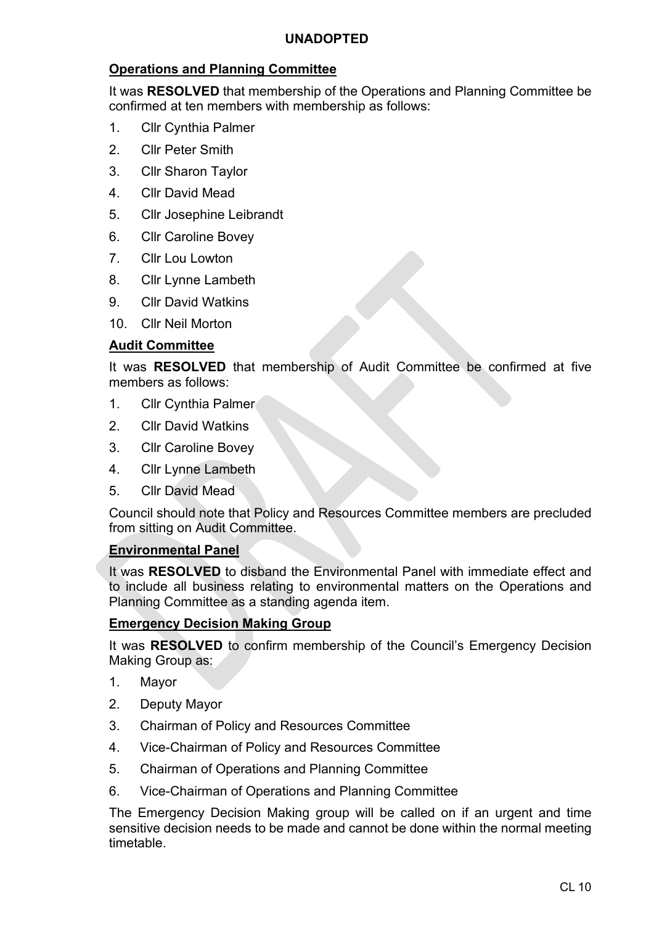# **Operations and Planning Committee**

It was **RESOLVED** that membership of the Operations and Planning Committee be confirmed at ten members with membership as follows:

- 1. Cllr Cynthia Palmer
- 2. Cllr Peter Smith
- 3. Cllr Sharon Taylor
- 4. Cllr David Mead
- 5. Cllr Josephine Leibrandt
- 6. Cllr Caroline Bovey
- 7. Cllr Lou Lowton
- 8. Cllr Lynne Lambeth
- 9. Cllr David Watkins
- 10. Cllr Neil Morton

### **Audit Committee**

It was **RESOLVED** that membership of Audit Committee be confirmed at five members as follows:

- 1. Cllr Cynthia Palmer
- 2. Cllr David Watkins
- 3. Cllr Caroline Bovey
- 4. Cllr Lynne Lambeth
- 5. Cllr David Mead

Council should note that Policy and Resources Committee members are precluded from sitting on Audit Committee.

### **Environmental Panel**

It was **RESOLVED** to disband the Environmental Panel with immediate effect and to include all business relating to environmental matters on the Operations and Planning Committee as a standing agenda item.

### **Emergency Decision Making Group**

It was **RESOLVED** to confirm membership of the Council's Emergency Decision Making Group as:

- 1. Mayor
- 2. Deputy Mayor
- 3. Chairman of Policy and Resources Committee
- 4. Vice-Chairman of Policy and Resources Committee
- 5. Chairman of Operations and Planning Committee
- 6. Vice-Chairman of Operations and Planning Committee

The Emergency Decision Making group will be called on if an urgent and time sensitive decision needs to be made and cannot be done within the normal meeting timetable.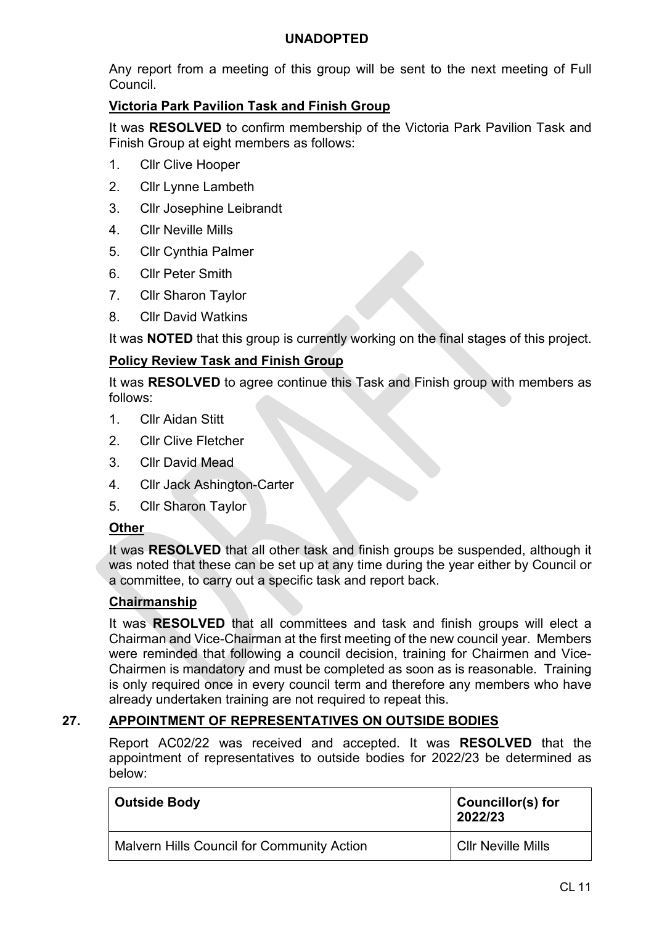Any report from a meeting of this group will be sent to the next meeting of Full Council.

# **Victoria Park Pavilion Task and Finish Group**

It was **RESOLVED** to confirm membership of the Victoria Park Pavilion Task and Finish Group at eight members as follows:

- 1. Cllr Clive Hooper
- 2. Cllr Lynne Lambeth
- 3. Cllr Josephine Leibrandt
- 4. Cllr Neville Mills
- 5. Cllr Cynthia Palmer
- 6. Cllr Peter Smith
- 7. Cllr Sharon Taylor
- 8. Cllr David Watkins

It was **NOTED** that this group is currently working on the final stages of this project.

### **Policy Review Task and Finish Group**

It was **RESOLVED** to agree continue this Task and Finish group with members as follows:

- 1. Cllr Aidan Stitt
- 2. Cllr Clive Fletcher
- 3. Cllr David Mead
- 4. Cllr Jack Ashington-Carter
- 5. Cllr Sharon Taylor

#### **Other**

It was **RESOLVED** that all other task and finish groups be suspended, although it was noted that these can be set up at any time during the year either by Council or a committee, to carry out a specific task and report back.

#### **Chairmanship**

It was **RESOLVED** that all committees and task and finish groups will elect a Chairman and Vice-Chairman at the first meeting of the new council year. Members were reminded that following a council decision, training for Chairmen and Vice-Chairmen is mandatory and must be completed as soon as is reasonable. Training is only required once in every council term and therefore any members who have already undertaken training are not required to repeat this.

### **27. APPOINTMENT OF REPRESENTATIVES ON OUTSIDE BODIES**

Report AC02/22 was received and accepted. It was **RESOLVED** that the appointment of representatives to outside bodies for 2022/23 be determined as below:

| <b>Outside Body</b>                               | <b>Councillor(s) for</b><br>2022/23 |
|---------------------------------------------------|-------------------------------------|
| <b>Malvern Hills Council for Community Action</b> | Cllr Neville Mills                  |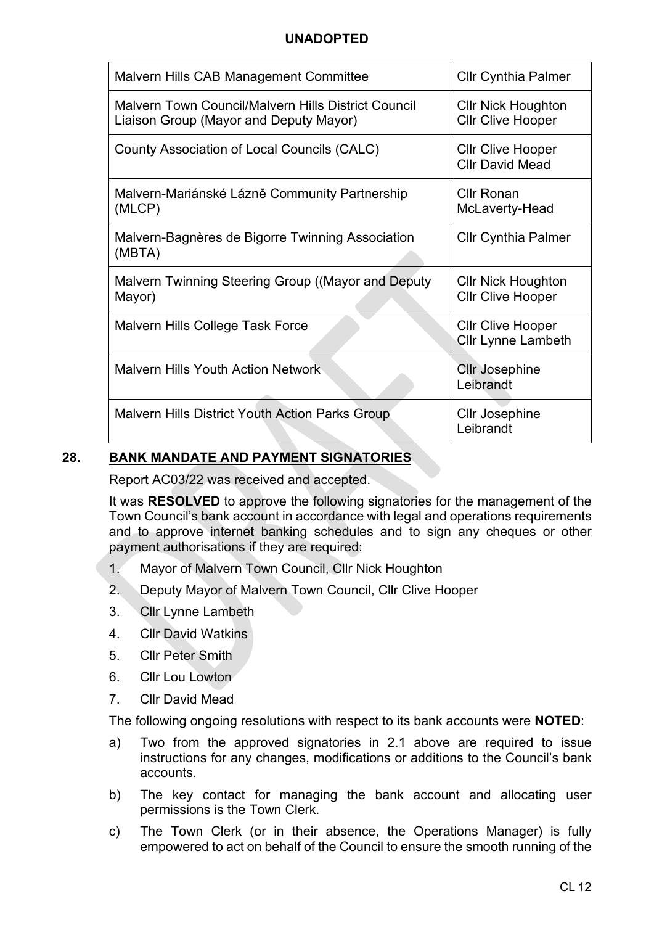| Malvern Hills CAB Management Committee                                                        | <b>Cllr Cynthia Palmer</b>                            |
|-----------------------------------------------------------------------------------------------|-------------------------------------------------------|
| Malvern Town Council/Malvern Hills District Council<br>Liaison Group (Mayor and Deputy Mayor) | <b>Cllr Nick Houghton</b><br><b>Cllr Clive Hooper</b> |
| County Association of Local Councils (CALC)                                                   | <b>Cllr Clive Hooper</b><br><b>Cllr David Mead</b>    |
| Malvern-Mariánské Lázně Community Partnership<br>(MLCP)                                       | Cllr Ronan<br>McLaverty-Head                          |
| Malvern-Bagnères de Bigorre Twinning Association<br>(MBTA)                                    | <b>Cllr Cynthia Palmer</b>                            |
| Malvern Twinning Steering Group ((Mayor and Deputy<br>Mayor)                                  | <b>Cllr Nick Houghton</b><br><b>Cllr Clive Hooper</b> |
| Malvern Hills College Task Force                                                              | <b>Cllr Clive Hooper</b><br><b>Cllr Lynne Lambeth</b> |
| <b>Malvern Hills Youth Action Network</b>                                                     | <b>CIIr Josephine</b><br>Leibrandt                    |
| Malvern Hills District Youth Action Parks Group                                               | <b>Cllr Josephine</b><br>Leibrandt                    |

# **28. BANK MANDATE AND PAYMENT SIGNATORIES**

Report AC03/22 was received and accepted.

It was **RESOLVED** to approve the following signatories for the management of the Town Council's bank account in accordance with legal and operations requirements and to approve internet banking schedules and to sign any cheques or other payment authorisations if they are required:

- 1. Mayor of Malvern Town Council, Cllr Nick Houghton
- 2. Deputy Mayor of Malvern Town Council, Cllr Clive Hooper
- 3. Cllr Lynne Lambeth
- 4. Cllr David Watkins
- 5. Cllr Peter Smith
- 6. Cllr Lou Lowton
- 7. Cllr David Mead

The following ongoing resolutions with respect to its bank accounts were **NOTED**:

- a) Two from the approved signatories in 2.1 above are required to issue instructions for any changes, modifications or additions to the Council's bank accounts.
- b) The key contact for managing the bank account and allocating user permissions is the Town Clerk.
- c) The Town Clerk (or in their absence, the Operations Manager) is fully empowered to act on behalf of the Council to ensure the smooth running of the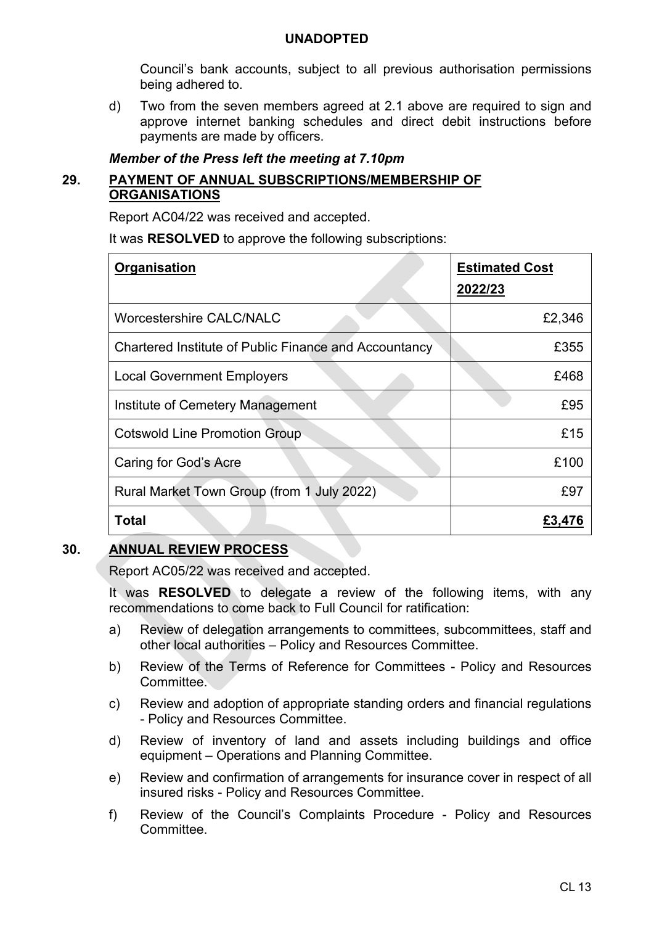Council's bank accounts, subject to all previous authorisation permissions being adhered to.

d) Two from the seven members agreed at 2.1 above are required to sign and approve internet banking schedules and direct debit instructions before payments are made by officers.

#### *Member of the Press left the meeting at 7.10pm*

### **29. PAYMENT OF ANNUAL SUBSCRIPTIONS/MEMBERSHIP OF ORGANISATIONS**

Report AC04/22 was received and accepted.

It was **RESOLVED** to approve the following subscriptions:

| Organisation                                          | <b>Estimated Cost</b> |
|-------------------------------------------------------|-----------------------|
|                                                       | 2022/23               |
| <b>Worcestershire CALC/NALC</b>                       | £2,346                |
| Chartered Institute of Public Finance and Accountancy | £355                  |
| <b>Local Government Employers</b>                     | £468                  |
| Institute of Cemetery Management                      | £95                   |
| <b>Cotswold Line Promotion Group</b>                  | £15                   |
| Caring for God's Acre                                 | £100                  |
| Rural Market Town Group (from 1 July 2022)            | £97                   |
| <b>Total</b>                                          | £3,476                |

# **30. ANNUAL REVIEW PROCESS**

Report AC05/22 was received and accepted.

It was **RESOLVED** to delegate a review of the following items, with any recommendations to come back to Full Council for ratification:

- a) Review of delegation arrangements to committees, subcommittees, staff and other local authorities – Policy and Resources Committee.
- b) Review of the Terms of Reference for Committees Policy and Resources Committee.
- c) Review and adoption of appropriate standing orders and financial regulations - Policy and Resources Committee.
- d) Review of inventory of land and assets including buildings and office equipment – Operations and Planning Committee.
- e) Review and confirmation of arrangements for insurance cover in respect of all insured risks - Policy and Resources Committee.
- f) Review of the Council's Complaints Procedure Policy and Resources Committee.